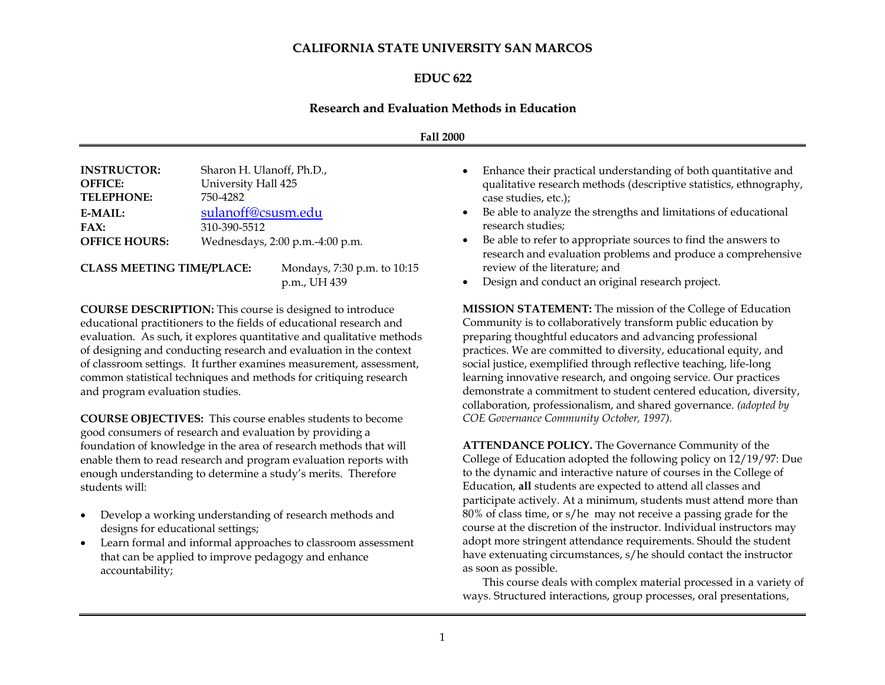## **CALIFORNIA STATE UNIVERSITY SAN MARCOS**

#### **EDUC 622**

#### **Research and Evaluation Methods in Education**

#### **Fall 2000**

| <b>INSTRUCTOR:</b>   | Sharon H. Ulanoff, Ph.D.,       |
|----------------------|---------------------------------|
| <b>OFFICE:</b>       | University Hall 425             |
| <b>TELEPHONE:</b>    | 750-4282                        |
| E-MAIL:              | sulanoff@csusm.edu              |
| FAX:                 | 310-390-5512                    |
| <b>OFFICE HOURS:</b> | Wednesdays, 2:00 p.m.-4:00 p.m. |
|                      |                                 |

### **CLASS MEETING TIME/PLACE:** Mondays, 7:30 p.m. to 10:15

p.m., UH 439

**COURSE DESCRIPTION:** This course is designed to introduce educational practitioners to the fields of educational research and evaluation. As such, it explores quantitative and qualitative methods of designing and conducting research and evaluation in the context of classroom settings. It further examines measurement, assessment, common statistical techniques and methods for critiquing research and program evaluation studies.

**COURSE OBJECTIVES:** This course enables students to become good consumers of research and evaluation by providing a foundation of knowledge in the area of research methods that will enable them to read research and program evaluation reports with enough understanding to determine a study's merits. Therefore students will:

- Develop a working understanding of research methods and designs for educational settings;
- Learn formal and informal approaches to classroom assessment that can be applied to improve pedagogy and enhance accountability;
- Enhance their practical understanding of both quantitative and qualitative research methods (descriptive statistics, ethnography, case studies, etc.);
- Be able to analyze the strengths and limitations of educational research studies;
- Be able to refer to appropriate sources to find the answers to research and evaluation problems and produce a comprehensive review of the literature; and
- Design and conduct an original research project.

**MISSION STATEMENT:** The mission of the College of Education Community is to collaboratively transform public education by preparing thoughtful educators and advancing professional practices. We are committed to diversity, educational equity, and social justice, exemplified through reflective teaching, life-long learning innovative research, and ongoing service. Our practices demonstrate a commitment to student centered education, diversity, collaboration, professionalism, and shared governance. *(adopted by COE Governance Community October, 1997).*

**ATTENDANCE POLICY.** The Governance Community of the College of Education adopted the following policy on 12/19/97: Due to the dynamic and interactive nature of courses in the College of Education, **all** students are expected to attend all classes and participate actively. At a minimum, students must attend more than 80% of class time, or s/he may not receive a passing grade for the course at the discretion of the instructor. Individual instructors may adopt more stringent attendance requirements. Should the student have extenuating circumstances, s/he should contact the instructor as soon as possible.

This course deals with complex material processed in a variety of ways. Structured interactions, group processes, oral presentations,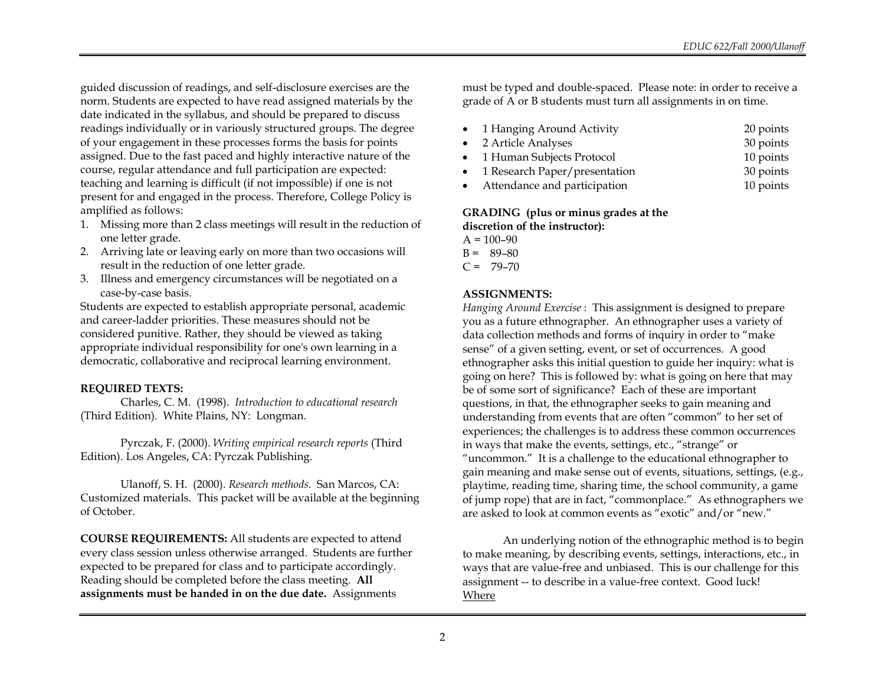guided discussion of readings, and self-disclosure exercises are the norm. Students are expected to have read assigned materials by the date indicated in the syllabus, and should be prepared to discuss readings individually or in variously structured groups. The degree of your engagement in these processes forms the basis for points assigned. Due to the fast paced and highly interactive nature of the course, regular attendance and full participation are expected: teaching and learning is difficult (if not impossible) if one is not present for and engaged in the process. Therefore, College Policy is amplified as follows:

- 1. Missing more than 2 class meetings will result in the reduction of one letter grade.
- 2. Arriving late or leaving early on more than two occasions will result in the reduction of one letter grade.
- 3. Illness and emergency circumstances will be negotiated on a case-by-case basis.

Students are expected to establish appropriate personal, academic and career-ladder priorities. These measures should not be considered punitive. Rather, they should be viewed as taking appropriate individual responsibility for one's own learning in a democratic, collaborative and reciprocal learning environment.

#### **REQUIRED TEXTS:**

Charles, C. M. (1998). *Introduction to educational research*  (Third Edition)*.* White Plains, NY: Longman.

Pyrczak, F. (2000). *Writing empirical research reports* (Third Edition). Los Angeles, CA: Pyrczak Publishing.

Ulanoff, S. H. (2000). *Research methods*. San Marcos, CA: Customized materials. This packet will be available at the beginning of October.

**COURSE REQUIREMENTS:** All students are expected to attend every class session unless otherwise arranged. Students are further expected to be prepared for class and to participate accordingly. Reading should be completed before the class meeting. **All assignments must be handed in on the due date.** Assignments

must be typed and double-spaced. Please note: in order to receive a grade of A or B students must turn all assignments in on time.

- 1 Hanging Around Activity 20 points
- 2 Article Analyses 30 points 1 Human Subjects Protocol 10 points
- 1 Research Paper/presentation 30 points
- Attendance and participation 10 points

## **GRADING (plus or minus grades at the discretion of the instructor):**

- $A = 100 90$
- $B = 89-80$  $C = 79 - 70$

### **ASSIGNMENTS:**

*Hanging Around Exercise* : This assignment is designed to prepare you as a future ethnographer. An ethnographer uses a variety of data collection methods and forms of inquiry in order to "make sense" of a given setting, event, or set of occurrences. A good ethnographer asks this initial question to guide her inquiry: what is going on here? This is followed by: what is going on here that may be of some sort of significance? Each of these are important questions, in that, the ethnographer seeks to gain meaning and understanding from events that are often "common" to her set of experiences; the challenges is to address these common occurrences in ways that make the events, settings, etc., "strange" or "uncommon." It is a challenge to the educational ethnographer to gain meaning and make sense out of events, situations, settings, (e.g., playtime, reading time, sharing time, the school community, a game of jump rope) that are in fact, "commonplace." As ethnographers we are asked to look at common events as "exotic" and/or "new."

An underlying notion of the ethnographic method is to begin to make meaning, by describing events, settings, interactions, etc., in ways that are value-free and unbiased. This is our challenge for this assignment -- to describe in a value-free context. Good luck! Where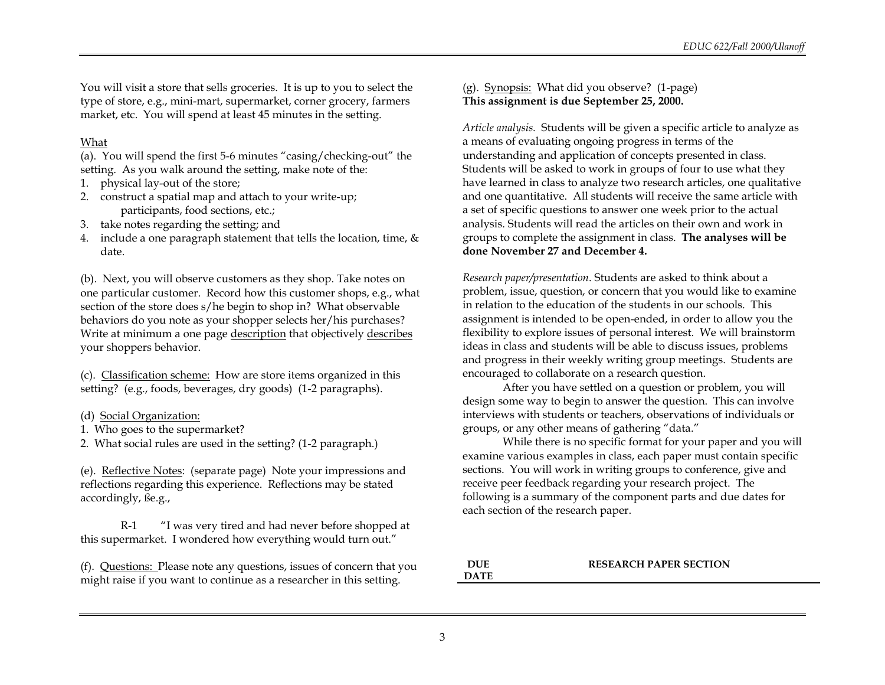You will visit a store that sells groceries. It is up to you to select the type of store, e.g., mini-mart, supermarket, corner grocery, farmers market, etc. You will spend at least 45 minutes in the setting.

#### What

(a). You will spend the first 5-6 minutes "casing/checking-out" the setting. As you walk around the setting, make note of the:

- 1. physical lay-out of the store;
- 2. construct a spatial map and attach to your write-up; participants, food sections, etc.;
- 3. take notes regarding the setting; and
- 4. include a one paragraph statement that tells the location, time, & date.

(b). Next, you will observe customers as they shop. Take notes on one particular customer. Record how this customer shops, e.g., what section of the store does s/he begin to shop in? What observable behaviors do you note as your shopper selects her/his purchases? Write at minimum a one page description that objectively describes your shoppers behavior.

(c). Classification scheme: How are store items organized in this setting? (e.g., foods, beverages, dry goods) (1-2 paragraphs).

#### (d) Social Organization:

1. Who goes to the supermarket?

2. What social rules are used in the setting? (1-2 paragraph.)

(e). Reflective Notes: (separate page) Note your impressions and reflections regarding this experience. Reflections may be stated accordingly, ße.g.,

R-1 "I was very tired and had never before shopped at this supermarket. I wondered how everything would turn out."

(f). Questions: Please note any questions, issues of concern that you might raise if you want to continue as a researcher in this setting.

(g). Synopsis: What did you observe? (1-page) **This assignment is due September 25, 2000.**

*Article analysis.* Students will be given a specific article to analyze as a means of evaluating ongoing progress in terms of the understanding and application of concepts presented in class. Students will be asked to work in groups of four to use what they have learned in class to analyze two research articles, one qualitative and one quantitative. All students will receive the same article with a set of specific questions to answer one week prior to the actual analysis. Students will read the articles on their own and work in groups to complete the assignment in class. **The analyses will be done November 27 and December 4.**

*Research paper/presentation*. Students are asked to think about a problem, issue, question, or concern that you would like to examine in relation to the education of the students in our schools. This assignment is intended to be open-ended, in order to allow you the flexibility to explore issues of personal interest. We will brainstorm ideas in class and students will be able to discuss issues, problems and progress in their weekly writing group meetings. Students are encouraged to collaborate on a research question.

After you have settled on a question or problem, you will design some way to begin to answer the question. This can involve interviews with students or teachers, observations of individuals or groups, or any other means of gathering "data."

While there is no specific format for your paper and you will examine various examples in class, each paper must contain specific sections. You will work in writing groups to conference, give and receive peer feedback regarding your research project. The following is a summary of the component parts and due dates for each section of the research paper.

#### **DUE DATE RESEARCH PAPER SECTION**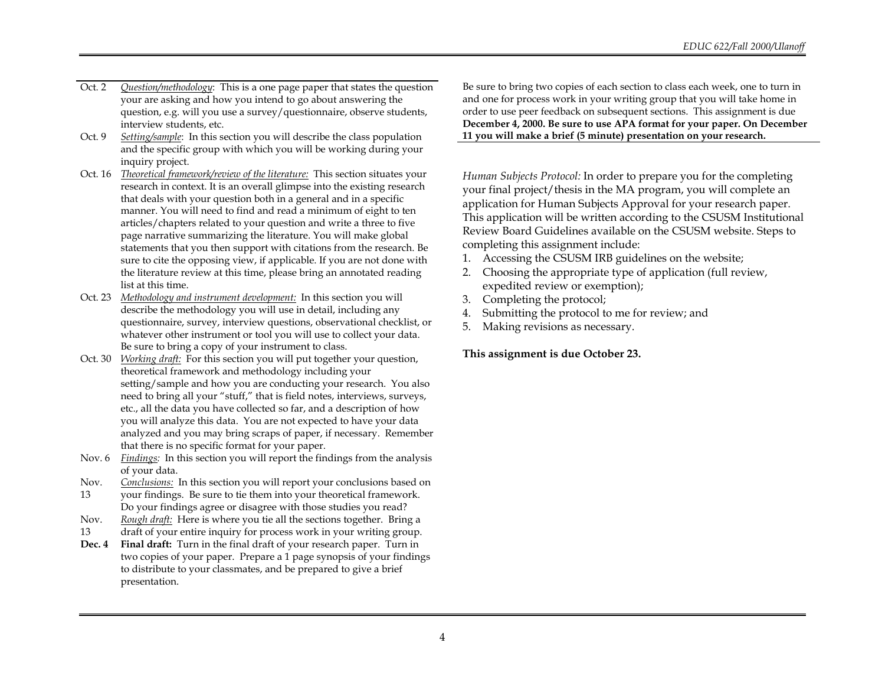- Oct. 2 *Question/methodology*: This is a one page paper that states the question your are asking and how you intend to go about answering the question, e.g. will you use a survey/questionnaire, observe students, interview students, etc.
- Oct. 9 *Setting/sample*: In this section you will describe the class population and the specific group with which you will be working during your inquiry project.
- Oct. 16 *Theoretical framework/review of the literature:* This section situates your research in context. It is an overall glimpse into the existing research that deals with your question both in a general and in a specific manner. You will need to find and read a minimum of eight to ten articles/chapters related to your question and write a three to five page narrative summarizing the literature. You will make global statements that you then support with citations from the research. Be sure to cite the opposing view, if applicable. If you are not done with the literature review at this time, please bring an annotated reading list at this time.
- Oct. 23 *Methodology and instrument development:* In this section you will describe the methodology you will use in detail, including any questionnaire, survey, interview questions, observational checklist, or whatever other instrument or tool you will use to collect your data. Be sure to bring a copy of your instrument to class.
- Oct. 30 *Working draft:* For this section you will put together your question, theoretical framework and methodology including your setting/sample and how you are conducting your research. You also need to bring all your "stuff," that is field notes, interviews, surveys, etc., all the data you have collected so far, and a description of how you will analyze this data. You are not expected to have your data analyzed and you may bring scraps of paper, if necessary. Remember that there is no specific format for your paper.
- Nov. 6 *Findings:* In this section you will report the findings from the analysis of your data.
- Nov. *Conclusions:* In this section you will report your conclusions based on
- 13 your findings. Be sure to tie them into your theoretical framework. Do your findings agree or disagree with those studies you read?
- Nov. *Rough draft:* Here is where you tie all the sections together. Bring a
- 13 draft of your entire inquiry for process work in your writing group.
- **Dec. 4 Final draft:** Turn in the final draft of your research paper. Turn in two copies of your paper. Prepare a 1 page synopsis of your findings to distribute to your classmates, and be prepared to give a brief presentation.

Be sure to bring two copies of each section to class each week, one to turn in and one for process work in your writing group that you will take home in order to use peer feedback on subsequent sections. This assignment is due **December 4, 2000. Be sure to use APA format for your paper. On December 11 you will make a brief (5 minute) presentation on your research.**

*Human Subjects Protocol:* In order to prepare you for the completing your final project/thesis in the MA program, you will complete an application for Human Subjects Approval for your research paper. This application will be written according to the CSUSM Institutional Review Board Guidelines available on the CSUSM website. Steps to completing this assignment include:

- 1. Accessing the CSUSM IRB guidelines on the website;
- 2. Choosing the appropriate type of application (full review, expedited review or exemption);
- 3. Completing the protocol;
- 4. Submitting the protocol to me for review; and
- 5. Making revisions as necessary.

# **This assignment is due October 23.**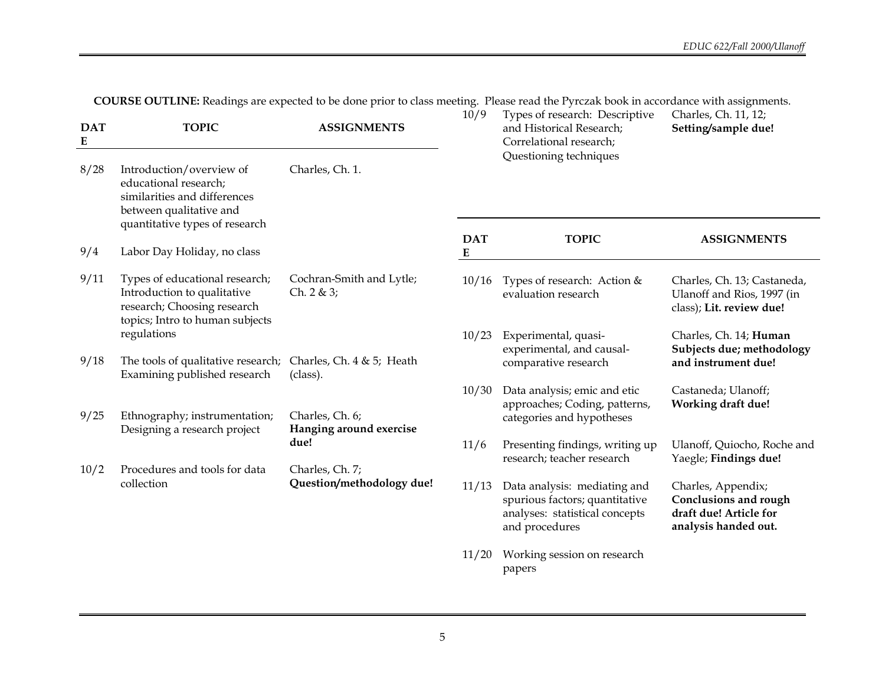**COURSE OUTLINE:** Readings are expected to be done prior to class meeting. Please read the Pyrczak book in accordance with assignments.

| <b>DAT</b><br>${\bf E}$ | <b>TOPIC</b>                                                                                                                    | <b>ASSIGNMENTS</b>                         | 10/9                    | Types of research: Descriptive<br>and Historical Research;<br>Correlational research;                              | Charles, Ch. 11, 12;<br>Setting/sample due!                                                          |
|-------------------------|---------------------------------------------------------------------------------------------------------------------------------|--------------------------------------------|-------------------------|--------------------------------------------------------------------------------------------------------------------|------------------------------------------------------------------------------------------------------|
| 8/28                    | Introduction/overview of<br>educational research;<br>similarities and differences<br>between qualitative and                    | Charles, Ch. 1.                            |                         | Questioning techniques                                                                                             |                                                                                                      |
| 9/4                     | quantitative types of research<br>Labor Day Holiday, no class                                                                   |                                            | <b>DAT</b><br>${\bf E}$ | <b>TOPIC</b>                                                                                                       | <b>ASSIGNMENTS</b>                                                                                   |
| 9/11                    | Types of educational research;<br>Introduction to qualitative<br>research; Choosing research<br>topics; Intro to human subjects | Cochran-Smith and Lytle;<br>Ch. 2 & 3;     | 10/16                   | Types of research: Action &<br>evaluation research                                                                 | Charles, Ch. 13; Castaneda,<br>Ulanoff and Rios, 1997 (in<br>class); Lit. review due!                |
| 9/18                    | regulations<br>The tools of qualitative research;                                                                               | Charles, Ch. 4 & 5; Heath                  | 10/23                   | Experimental, quasi-<br>experimental, and causal-<br>comparative research                                          | Charles, Ch. 14; Human<br>Subjects due; methodology<br>and instrument due!                           |
|                         | Examining published research                                                                                                    | (class).                                   |                         |                                                                                                                    |                                                                                                      |
|                         |                                                                                                                                 |                                            | 10/30                   | Data analysis; emic and etic<br>approaches; Coding, patterns,                                                      | Castaneda; Ulanoff;<br>Working draft due!                                                            |
| 9/25                    | Ethnography; instrumentation;<br>Designing a research project                                                                   | Charles, Ch. 6;<br>Hanging around exercise |                         | categories and hypotheses                                                                                          |                                                                                                      |
|                         |                                                                                                                                 | due!                                       | 11/6                    | Presenting findings, writing up<br>research; teacher research                                                      | Ulanoff, Quiocho, Roche and<br>Yaegle; Findings due!                                                 |
| 10/2                    | Procedures and tools for data                                                                                                   | Charles, Ch. 7;                            |                         |                                                                                                                    |                                                                                                      |
|                         | collection                                                                                                                      | Question/methodology due!                  | 11/13                   | Data analysis: mediating and<br>spurious factors; quantitative<br>analyses: statistical concepts<br>and procedures | Charles, Appendix;<br><b>Conclusions and rough</b><br>draft due! Article for<br>analysis handed out. |
|                         |                                                                                                                                 |                                            | 11/20                   | Working session on research<br>papers                                                                              |                                                                                                      |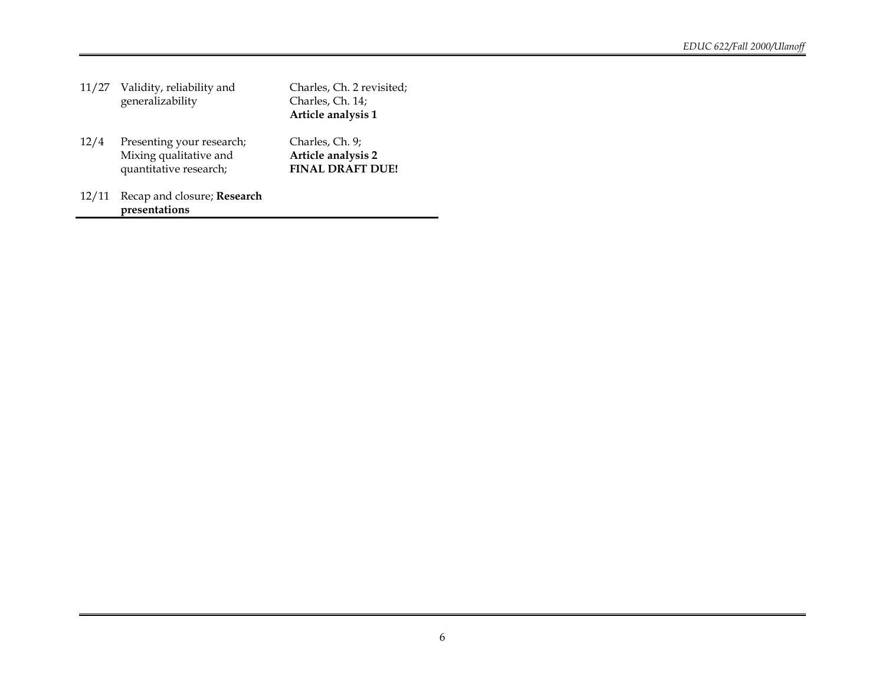|       | 11/27 Validity, reliability and<br>generalizability                           | Charles, Ch. 2 revisited;<br>Charles, Ch. 14;<br>Article analysis 1 |
|-------|-------------------------------------------------------------------------------|---------------------------------------------------------------------|
| 12/4  | Presenting your research;<br>Mixing qualitative and<br>quantitative research; | Charles, Ch. 9;<br>Article analysis 2<br><b>FINAL DRAFT DUE!</b>    |
| 12/11 | Recap and closure; Research<br>presentations                                  |                                                                     |